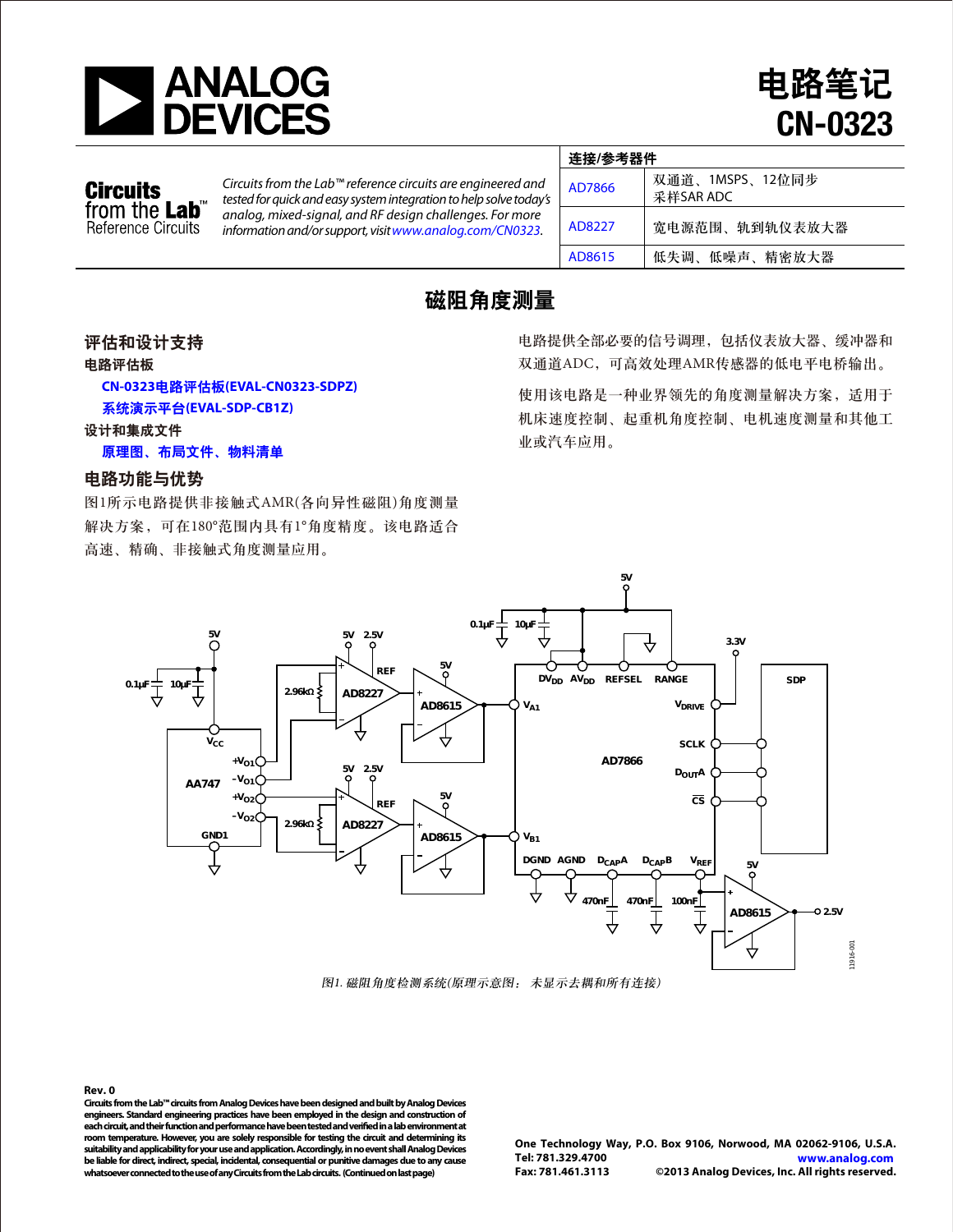

电路笔记 CN-0323

### **Circuits** from the Lab<sup>®</sup> Reference Circuits

*Circuits from the Lab™ reference circuits are engineered and tested for quick and easy system integration to help solve today's analog, mixed-signal, and RF design challenges. For more information and/or support, visitwww.analog.com/CN0323.*

|  | 连接/参考器件 |                              |
|--|---------|------------------------------|
|  | AD7866  | 双通道、1MSPS、12位同步<br>采样SAR ADC |
|  | AD8227  | 宽电源范围、轨到轨仪表放大器               |
|  | AD8615  | 低失调、低噪声、精密放大器                |

# 磁阻角度测量

评估和设计支持

电路评估板

 **CN-0323**电路评估板**[\(EVAL-CN0323-SDPZ\)](http://www.analog.com/zh/circuits-from-the-lab/cn0323/VC.html)**

系统演示平台**[\(EVAL-SDP-CB1Z\)](http://www.analog.com/zh/system-demonstration-platform/controller-boards/evaluation/SDP-B/eb.html)**

设计和集成文件

[原理图、布局文件、物料清单](http://www.analog.com/CN0323-DesignSupport)

# 电路功能与优势

图1所示电路提供非接触式AMR(各向异性磁阻)角度测量 解决方案,可在180°范围内具有1°角度精度。该电路适合 高速、精确、非接触式角度测量应用。

电路提供全部必要的信号调理,包括仪表放大器、缓冲器和 双通道ADC,可高效处理AMR传感器的低电平电桥输出。

使用该电路是一种业界领先的角度测量解决方案,适用于 机床速度控制、起重机角度控制、电机速度测量和其他工 业或汽车应用。



图1. 磁阻角度检测系统(原理示意图: 未显示去耦和所有连接)

**Rev. 0**  Circuits from the Lab™ circuits from Analog Devices have been designed and built by Analog Devices **engineers. Standard engineering practices have been employed in the design and construction of each circuit, and their function and performance have been tested and veried in a lab environment at room temperature. However, you are solely responsible for testing the circuit and determining its suitability and applicability for youruse and application. Accordingly, in no event shall Analog Devices be liable for direct, indirect, special, incidental, consequential or punitive damages due to any cause whatsoever connected to the use of any Circuits from the Lab circuits. (Continued on last page)** 

**One Technology Way, P.O. Box 9106, Norwood, MA 02062-9106, U.S.A. Tel: 781.329.4700 www.analog.com**  ©2013 Analog Devices, Inc. All rights reserved.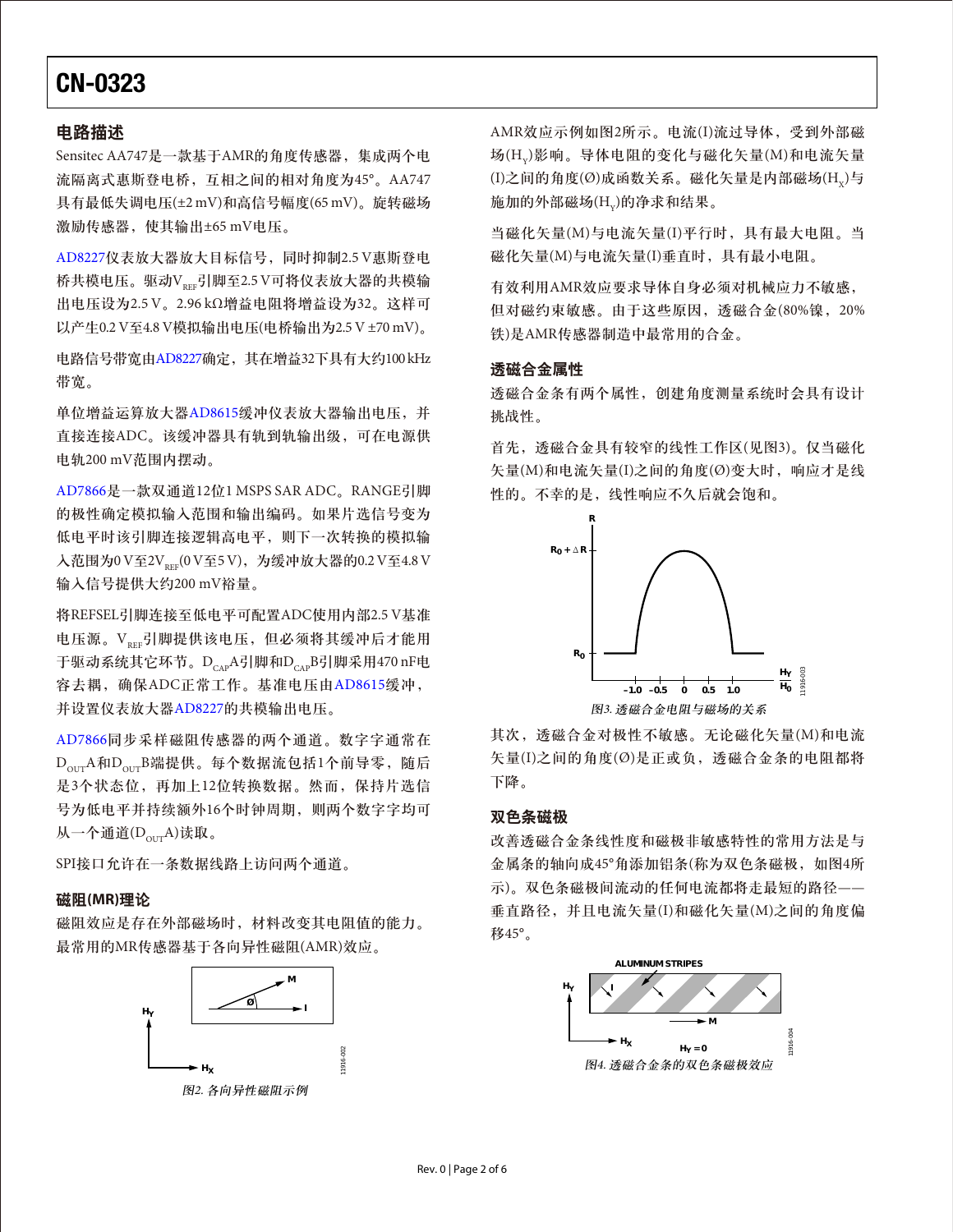### 电路描述

Sensitec AA747是一款基于AMR的角度传感器, 集成两个电 流隔离式惠斯登电桥,互相之间的相对角度为45°。AA747 具有最低失调电压(±2 mV)和高信号幅度(65 mV)。旋转磁场 激励传感器,使其输出±65 mV电压。

[AD8227](www.analog.com/zh/AD8227)仪表放大器放大目标信号,同时抑制2.5 V惠斯登电 桥共模电压。驱动VRRE引脚至2.5 V可将仪表放大器的共模输 出电压设为2.5 V。2.96 kΩ增益电阻将增益设为32。这样可 以产生0.2 V至4.8 V模拟输出电压(电桥输出为2.5 V ±70 mV)。

电路信号带宽由[AD8227](www.analog.com/zh/AD8227)确定,其在增益32下具有大约100 kHz 带宽。

单位增益运算放大器[AD8615](www.analog.com/zh/AD8615)缓冲仪表放大器输出电压, 并 直接连接ADC。该缓冲器具有轨到轨输出级,可在电源供 电轨200 mV范围内摆动。

[AD7866](www.analog.com/zh/AD7866)是一款双通道12位1 MSPS SAR ADC。RANGE引脚 的极性确定模拟输入范围和输出编码。如果片选信号变为 低电平时该引脚连接逻辑高电平,则下一次转换的模拟输  $\lambda$ 范围为0 V至2V<sub>prr</sub>(0 V至5 V), 为缓冲放大器的0.2 V至4.8 V 输入信号提供大约200 mV裕量。

将REFSEL引脚连接至低电平可配置ADC使用内部2.5 V基准 电压源。V<sub>REE</sub>引脚提供该电压,但必须将其缓冲后才能用 于驱动系统其它环节。D<sub>cap</sub>A引脚和D<sub>cap</sub>B引脚采用470 nF电 容去耦,确保ADC正常工作。基准电压由[AD8615](www.analog.com/zh/AD8615)缓冲, 并设置仪表放大器[AD8227](www.analog.com/zh/AD8227)的共模输出电压。

[AD7866](www.analog.com/zh/AD7866)同步采样磁阻传感器的两个通道。数字字通常在  $D_{\text{our}}$ A和 $D_{\text{our}}$ B端提供。每个数据流包括1个前导零,随后 是3个状态位,再加上12位转换数据。然而,保持片选信 号为低电平并持续额外16个时钟周期,则两个数字字均可 从一个通道 $(D_{\text{out}}A)$ 读取。

SPI接口允许在一条数据线路上访问两个通道。

### 磁阻**(MR)**理论

磁阻效应是存在外部磁场时,材料改变其电阻值的能力。 最常用的MR传感器基于各向异性磁阻(AMR)效应。



图2. 各向异性磁阻示例

AMR效应示例如图2所示。电流(I)流过导体,受到外部磁 场(HY)影响。导体电阻的变化与磁化矢量(M)和电流矢量  $(1)$ 之间的角度 $(0)$ 成函数关系。磁化矢量是内部磁场 $(H<sub>v</sub>)$ 与 施加的外部磁场(H<sub>v</sub>)的净求和结果。

当磁化矢量(M)与电流矢量(I)平行时,具有最大电阻。当 磁化矢量(M)与电流矢量(I)垂直时,具有最小电阻。

有效利用AMR效应要求导体自身必须对机械应力不敏感, 但对磁约束敏感。由于这些原因,透磁合金(80%镍,20% 铁)是AMR传感器制造中最常用的合金。

### 透磁合金属性

透磁合金条有两个属性,创建角度测量系统时会具有设计 挑战性。

首先,透磁合金具有较窄的线性工作区(见图3)。仅当磁化 矢量(M)和电流矢量(I)之间的角度(Ø)变大时,响应才是线 性的。不幸的是,线性响应不久后就会饱和。



其次,透磁合金对极性不敏感。无论磁化矢量(M)和电流 矢量(I)之间的角度(Ø)是正或负,透磁合金条的电阻都将 下降。

### 双色条磁极

改善透磁合金条线性度和磁极非敏感特性的常用方法是与 金属条的轴向成45°角添加铝条(称为双色条磁极, 如图4所 示)。双色条磁极间流动的任何电流都将走最短的路径—— 垂直路径,并且电流矢量(I)和磁化矢量(M)之间的角度偏 移45°。

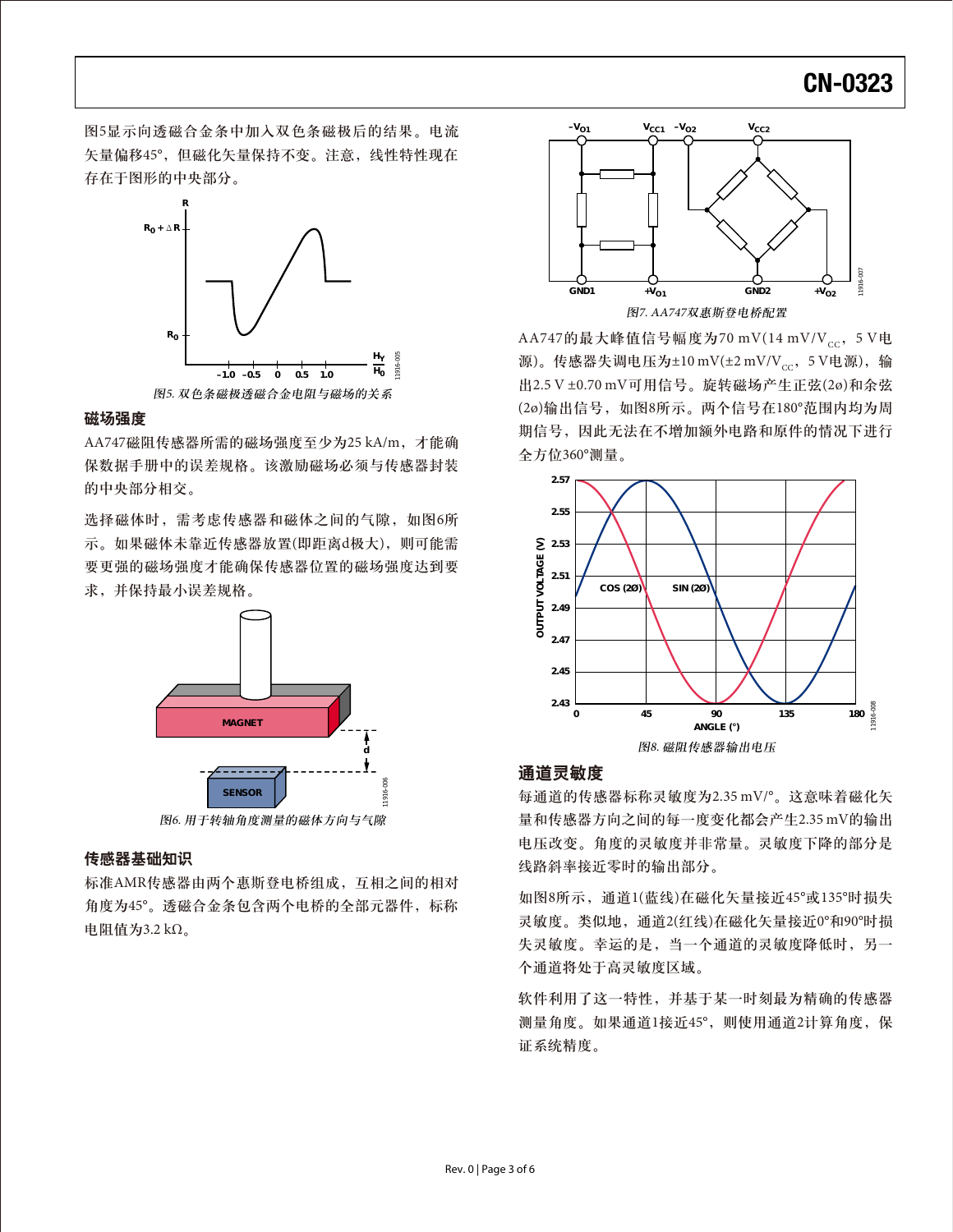图5显示向透磁合金条中加入双色条磁极后的结果。电流 矢量偏移45°,但磁化矢量保持不变。注意,线性特性现在 存在于图形的中央部分。



### 磁场强度

AA747磁阻传感器所需的磁场强度至少为25 kA/m,才能确 保数据手册中的误差规格。该激励磁场必须与传感器封装 的中央部分相交。

选择磁体时,需考虑传感器和磁体之间的气隙,如图6所 示。如果磁体未靠近传感器放置(即距离d极大), 则可能需 要更强的磁场强度才能确保传感器位置的磁场强度达到要 求,并保持最小误差规格。



### 传感器基础知识

标准AMR传感器由两个惠斯登电桥组成,互相之间的相对 角度为45°。透磁合金条包含两个电桥的全部元器件,标称 电阻值为3.2 kΩ。



AA747的最大峰值信号幅度为70 mV(14 mV/V<sub>cc</sub>, 5 V电 源)。传感器失调电压为±10 mV(±2 mV/Vcc,5 V电源),输 出2.5 V ±0.70 mV可用信号。旋转磁场产生正弦(2ø)和余弦 (2ø)输出信号,如图8所示。两个信号在180°范围内均为周 期信号,因此无法在不增加额外电路和原件的情况下进行 全方位360°测量。



### 通道灵敏度

每通道的传感器标称灵敏度为2.35 mV/°。这意味着磁化矢 量和传感器方向之间的每一度变化都会产生2.35 mV的输出 电压改变。角度的灵敏度并非常量。灵敏度下降的部分是 线路斜率接近零时的输出部分。

如图8所示,通道1(蓝线)在磁化矢量接近45°或135°时损失 灵敏度。类似地,通道2(红线)在磁化矢量接近0°和90°时损 失灵敏度。幸运的是,当一个通道的灵敏度降低时,另一 个通道将处于高灵敏度区域。

软件利用了这一特性,并基于某一时刻最为精确的传感器 测量角度。如果通道1接近45°,则使用通道2计算角度,保 证系统精度。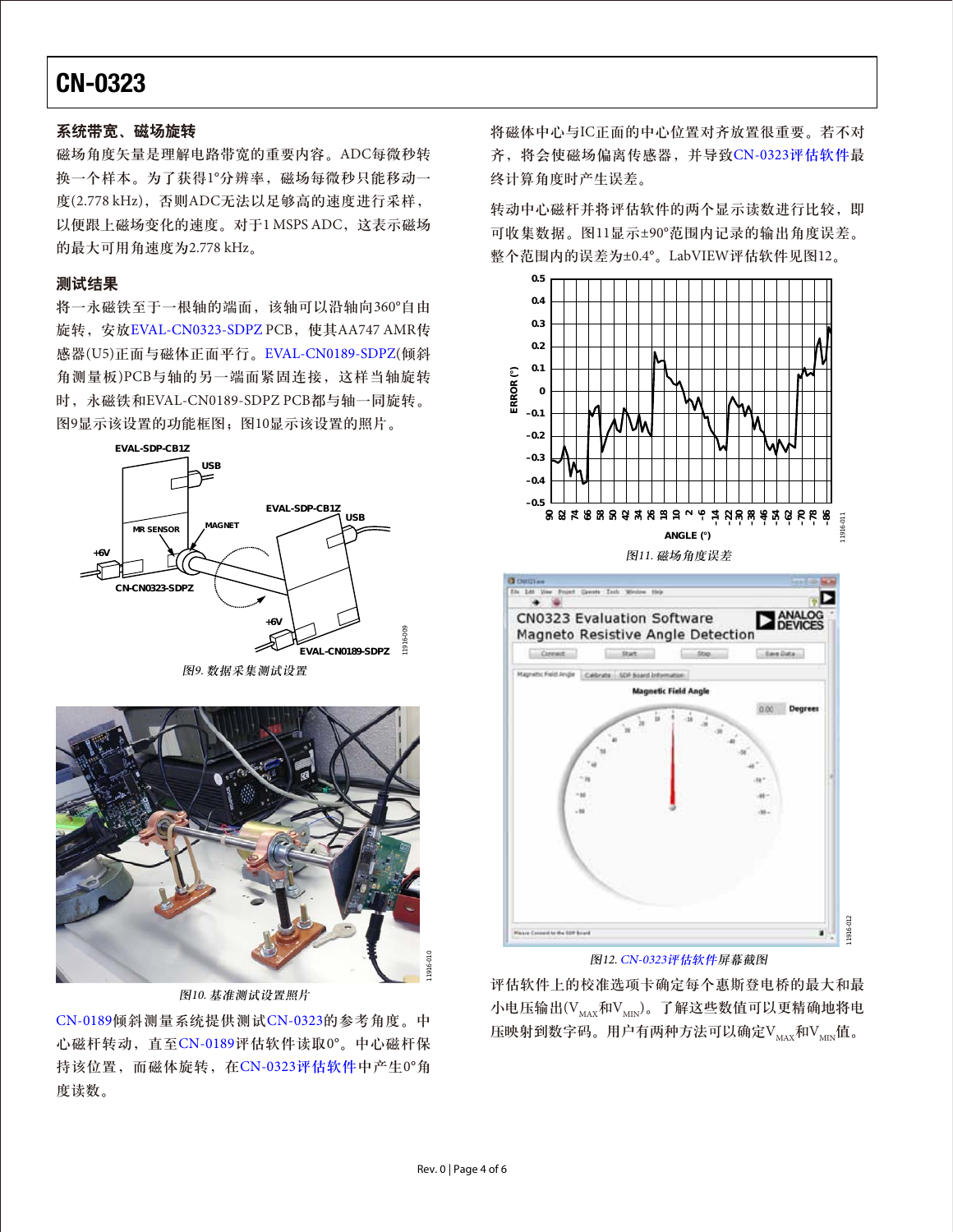### 系统带宽、磁场旋转

磁场角度矢量是理解电路带宽的重要内容。ADC每微秒转 换一个样本。为了获得1°分辨率,磁场每微秒只能移动一 度(2.778 kHz), 否则ADC无法以足够高的速度进行采样, 以便跟上磁场变化的速度。对于1 MSPS ADC,这表示磁场 的最大可用角速度为2.778 kHz。

## 测试结果

将一永磁铁至于一根轴的端面,该轴可以沿轴向360°自由 旋转, 安放[EVAL-CN0323-SDPZ](http://www.analog.com/zh/circuits-from-the-lab/cn0323/VC.html) PCB, 使其AA747 AMR传 感器(U5)正面与磁体正面平行。[EVAL-CN0189-SDPZ\(](http://www.analog.com/zh/circuits-from-the-lab/CN0189/vc.html)倾斜 角测量板)PCB与轴的另一端面紧固连接,这样当轴旋转 时,永磁铁和EVAL-CN0189-SDPZ PCB都与轴一同旋转。 图9显示该设置的功能框图;图10显示该设置的照片。



图9. 数据采集测试设置



图10. 基准测试设置照片

[CN-0189](www.analog.com/zh/CN-0189)倾斜测量系统提供测试[CN-0323](www.analog.com/zh/CN-0323)的参考角度。中 心磁杆转动,直至[CN-0189](www.analog.com/zh/CN-0189)评估软件读取0°。中心磁杆保 持该位置,而磁体旋转,在CN-0323[评估软件中](ftp://ftp.analog.com/pub/cftl/CN0323)产生0°角 度读数。

将磁体中心与IC正面的中心位置对齐放置很重要。若不对 齐,将会使磁场偏离传感器,并导致CN-0323[评估软件最](ftp://ftp.analog.com/pub/cftl/CN0323) 终计算角度时产生误差。

转动中心磁杆并将评估软件的两个显示读数进行比较,即 可收集数据。图11显示±90°范围内记录的输出角度误差。 整个范围内的误差为±0.4°。LabVIEW评估软件见图12。





图12. CN-0323[评估软件屏](ftp://ftp.analog.com/pub/cftl/CN0323)幕截图

评估软件上的校准选项卡确定每个惠斯登电桥的最大和最 小电压输出 $(V_{\text{max}}$ 和 $V_{\text{MIN}})$ 。了解这些数值可以更精确地将电 压映射到数字码。用户有两种方法可以确定V $_{\text{MAX}}$ 和V $_{\text{MIN}}$ 值。

11916-009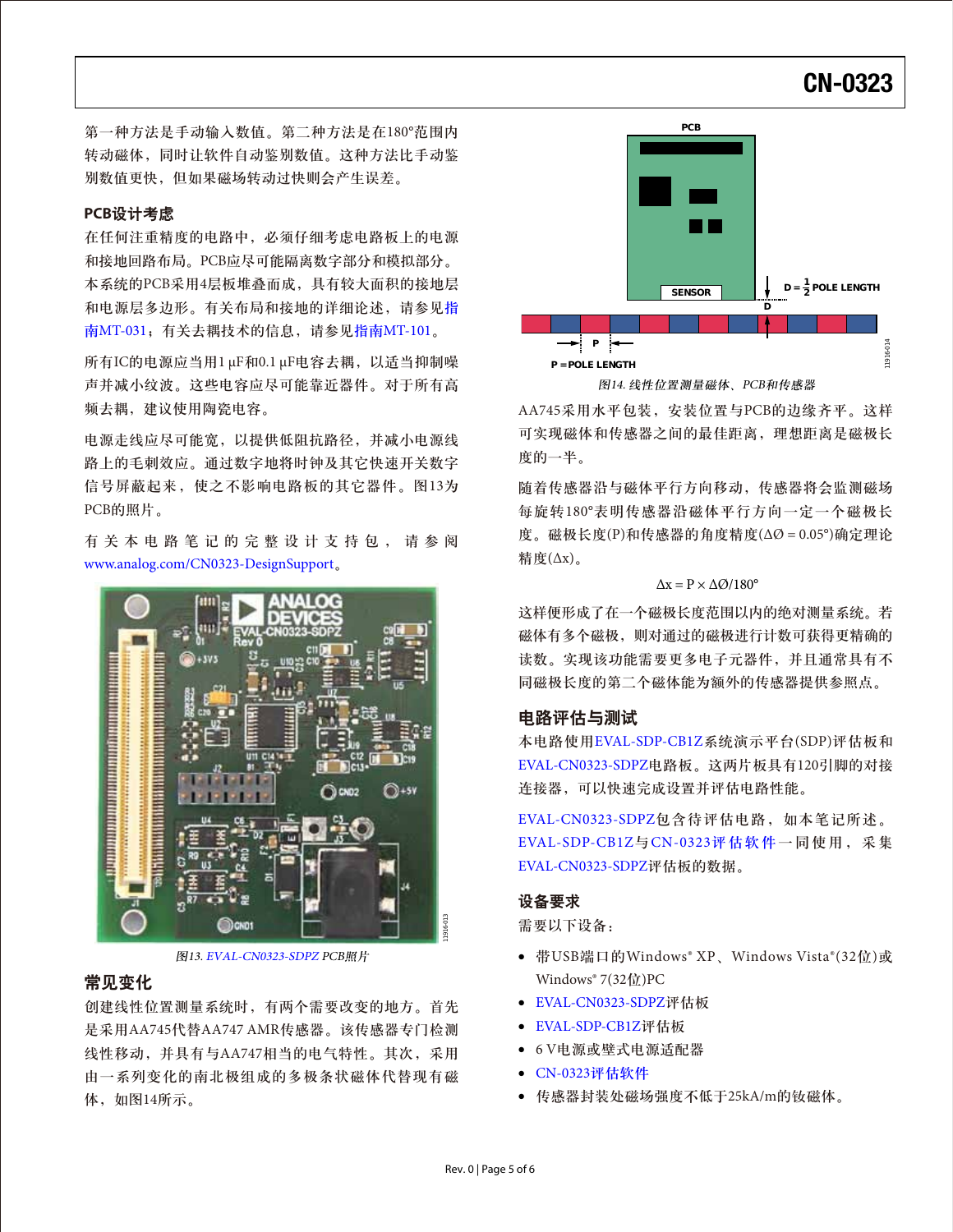第一种方法是手动输入数值。第二种方法是在180°范围内 转动磁体,同时让软件自动鉴别数值。这种方法比手动鉴 别数值更快,但如果磁场转动过快则会产生误差。

### **PCB**设计考虑

在任何注重精度的电路中,必须仔细考虑电路板上的电源 和接地回路布局。PCB应尽可能隔离数字部分和模拟部分。 本系统的PCB采用4层板堆叠而成,具有较大面积的接地层 和电源层多边形。有关布局和接地的详细论述,请参见[指](http://www.analog.com/MT-031?doc=CN0323.pdf) 南[MT-031](http://www.analog.com/MT-031?doc=CN0323.pdf);有关去耦技术的信息,请参见指南[MT-101](http://www.analog.com/MT-101?doc=CN0323.pdf)。

所有IC的电源应当用1 μF和0.1 μF电容去耦,以适当抑制噪 声并减小纹波。这些电容应尽可能靠近器件。对于所有高 频去耦,建议使用陶瓷电容。

电源走线应尽可能宽,以提供低阻抗路径,并减小电源线 路上的毛刺效应。通过数字地将时钟及其它快速开关数字 信号屏蔽起来,使之不影响电路板的其它器件。图13为 PCB的照片。

有关本电路笔记的完整设计支持包,请参阅 www.analog.com/CN0323-DesignSupport。



图13. [EVAL-CN0323-SDPZ](http://www.analog.com/zh/circuits-from-the-lab/cn0323/VC.html) PCB照片

### 常见变化

Rev. 0 | Page 5 of 6 11916-013 创建线性位置测量系统时,有两个需要改变的地方。首先 是采用AA745代替AA747 AMR传感器。该传感器专门检测 线性移动,并具有与AA747相当的电气特性。其次,采用 由一系列变化的南北极组成的多极条状磁体代替现有磁 体,如图14所示。



AA745采用水平包装,安装位置与PCB的边缘齐平。这样 可实现磁体和传感器之间的最佳距离,理想距离是磁极长 度的一半。

随着传感器沿与磁体平行方向移动,传感器将会监测磁场 每旋转180°表明传感器沿磁体平行方向一定一个磁极长 度。磁极长度(P)和传感器的角度精度(ΔØ = 0.05°)确定理论 精度(Δx)。

#### $\Delta x = P \times \Delta Q / 180^\circ$

这样便形成了在一个磁极长度范围以内的绝对测量系统。若 磁体有多个磁极,则对通过的磁极进行计数可获得更精确的 读数。实现该功能需要更多电子元器件,并且通常具有不 同磁极长度的第二个磁体能为额外的传感器提供参照点。

### 电路评估与测试

本电路使用[EVAL-SDP-CB1Z](http://www.analog.com/zh/system-demonstration-platform/controller-boards/evaluation/SDP-B/eb.html)系统演示平台(SDP)评估板和 [EVAL-CN0323-SDPZ](http://www.analog.com/zh/circuits-from-the-lab/cn0323/VC.html)电路板。这两片板具有120引脚的对接 连接器,可以快速完成设置并评估电路性能。

[EVAL-CN0323-SDPZ](http://www.analog.com/zh/circuits-from-the-lab/cn0323/VC.html)包含待评估电路,如本笔记所述。 [EVAL-SDP-CB1Z](http://www.analog.com/zh/system-demonstration-platform/controller-boards/evaluation/SDP-B/eb.html)与CN-0323[评估软件](ftp://ftp.analog.com/pub/cftl/CN0323)一同使用,采集 [EVAL-CN0323-SDPZ](http://www.analog.com/zh/circuits-from-the-lab/cn0323/VC.html)评估板的数据。

### 设备要求

需要以下设备:

- 带USB端口的Windows® XP、Windows Vista®(32位)或 Windows<sup>®</sup> 7(32位)PC
- [EVAL-CN0323-SDPZ](http://www.analog.com/zh/circuits-from-the-lab/cn0323/VC.html)评估板
- [EVAL-SDP-CB1Z](http://www.analog.com/zh/system-demonstration-platform/controller-boards/evaluation/SDP-B/eb.html)评估板
- 6 V电源或壁式电源适配器
- CN-0323[评估软件](ftp://ftp.analog.com/pub/cftl/CN0323)
- 传感器封装处磁场强度不低于25kA/m的钕磁体。